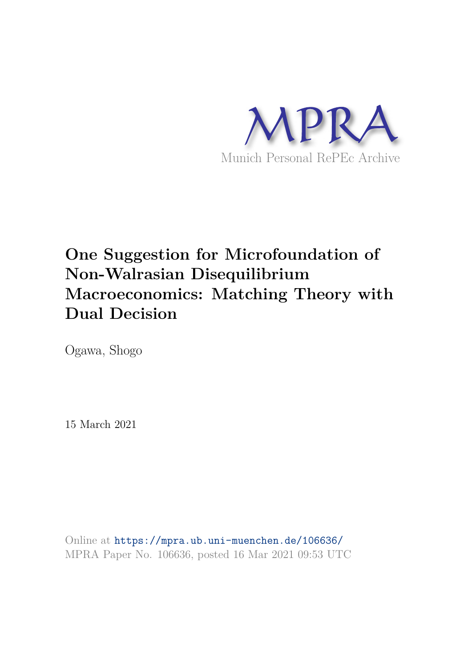

# **One Suggestion for Microfoundation of Non-Walrasian Disequilibrium Macroeconomics: Matching Theory with Dual Decision**

Ogawa, Shogo

15 March 2021

Online at https://mpra.ub.uni-muenchen.de/106636/ MPRA Paper No. 106636, posted 16 Mar 2021 09:53 UTC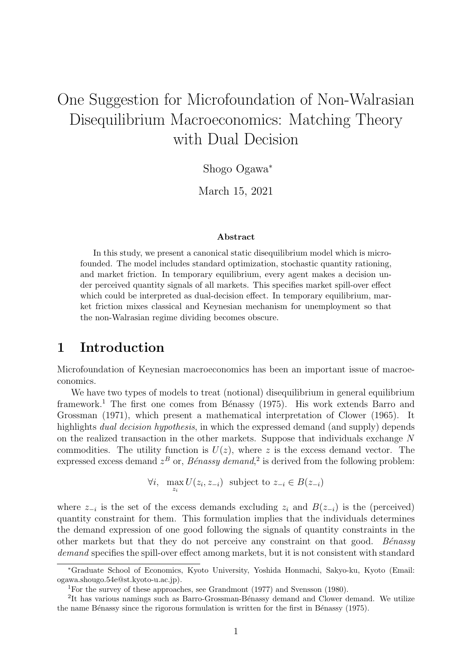## One Suggestion for Microfoundation of Non-Walrasian Disequilibrium Macroeconomics: Matching Theory with Dual Decision

Shogo Ogawa<sup>∗</sup>

March 15, 2021

#### Abstract

In this study, we present a canonical static disequilibrium model which is microfounded. The model includes standard optimization, stochastic quantity rationing, and market friction. In temporary equilibrium, every agent makes a decision under perceived quantity signals of all markets. This specifies market spill-over effect which could be interpreted as dual-decision effect. In temporary equilibrium, market friction mixes classical and Keynesian mechanism for unemployment so that the non-Walrasian regime dividing becomes obscure.

## 1 Introduction

Microfoundation of Keynesian macroeconomics has been an important issue of macroeconomics.

We have two types of models to treat (notional) disequilibrium in general equilibrium framework.<sup>1</sup> The first one comes from Bénassy (1975). His work extends Barro and Grossman (1971), which present a mathematical interpretation of Clower (1965). It highlights *dual decision hypothesis*, in which the expressed demand (and supply) depends on the realized transaction in the other markets. Suppose that individuals exchange N commodities. The utility function is  $U(z)$ , where z is the excess demand vector. The expressed excess demand  $z<sup>B</sup>$  or, *Bénassy demand*,<sup>2</sup> is derived from the following problem:

$$
\forall i, \max_{z_i} U(z_i, z_{-i}) \text{ subject to } z_{-i} \in B(z_{-i})
$$

where  $z_{-i}$  is the set of the excess demands excluding  $z_i$  and  $B(z_{-i})$  is the (perceived) quantity constraint for them. This formulation implies that the individuals determines the demand expression of one good following the signals of quantity constraints in the other markets but that they do not perceive any constraint on that good. Bénassy demand specifies the spill-over effect among markets, but it is not consistent with standard

<sup>∗</sup>Graduate School of Economics, Kyoto University, Yoshida Honmachi, Sakyo-ku, Kyoto (Email: ogawa.shougo.54e@st.kyoto-u.ac.jp).

<sup>1</sup>For the survey of these approaches, see Grandmont (1977) and Svensson (1980).

<sup>&</sup>lt;sup>2</sup>It has various namings such as Barro-Grossman-Bénassy demand and Clower demand. We utilize the name Bénassy since the rigorous formulation is written for the first in Bénassy (1975).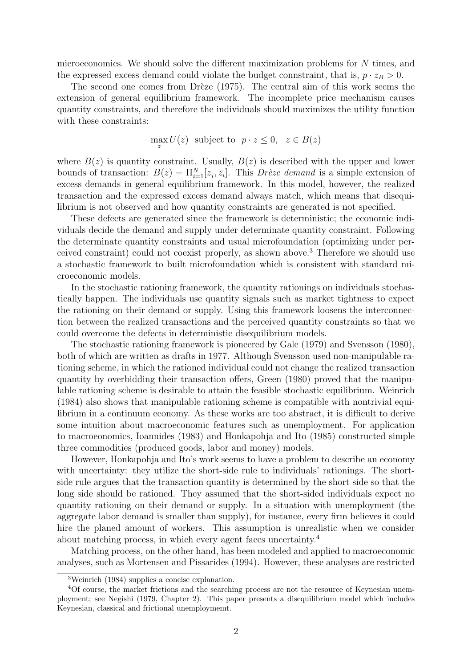microeconomics. We should solve the different maximization problems for N times, and the expressed excess demand could violate the budget connstraint, that is,  $p \cdot z_B > 0$ .

The second one comes from Drèze  $(1975)$ . The central aim of this work seems the extension of general equilibrium framework. The incomplete price mechanism causes quantity constraints, and therefore the individuals should maximizes the utility function with these constraints:

$$
\max_{z} U(z) \text{ subject to } p \cdot z \le 0, \ z \in B(z)
$$

where  $B(z)$  is quantity constraint. Usually,  $B(z)$  is described with the upper and lower bounds of transaction:  $B(z) = \prod_{i=1}^{N} [\underline{z}_i, \overline{z}_i]$ . This *Drèze demand* is a simple extension of excess demands in general equilibrium framework. In this model, however, the realized transaction and the expressed excess demand always match, which means that disequilibrium is not observed and how quantity constraints are generated is not specified.

These defects are generated since the framework is deterministic; the economic individuals decide the demand and supply under determinate quantity constraint. Following the determinate quantity constraints and usual microfoundation (optimizing under perceived constraint) could not coexist properly, as shown above.<sup>3</sup> Therefore we should use a stochastic framework to built microfoundation which is consistent with standard microeconomic models.

In the stochastic rationing framework, the quantity rationings on individuals stochastically happen. The individuals use quantity signals such as market tightness to expect the rationing on their demand or supply. Using this framework loosens the interconnection between the realized transactions and the perceived quantity constraints so that we could overcome the defects in deterministic disequilibrium models.

The stochastic rationing framework is pioneered by Gale (1979) and Svensson (1980), both of which are written as drafts in 1977. Although Svensson used non-manipulable rationing scheme, in which the rationed individual could not change the realized transaction quantity by overbidding their transaction offers, Green (1980) proved that the manipulable rationing scheme is desirable to attain the feasible stochastic equilibrium. Weinrich (1984) also shows that manipulable rationing scheme is compatible with nontrivial equilibrium in a continuum economy. As these works are too abstract, it is difficult to derive some intuition about macroeconomic features such as unemployment. For application to macroeonomics, Ioannides (1983) and Honkapohja and Ito (1985) constructed simple three commodities (produced goods, labor and money) models.

However, Honkapohja and Ito's work seems to have a problem to describe an economy with uncertainty: they utilize the short-side rule to individuals' rationings. The shortside rule argues that the transaction quantity is determined by the short side so that the long side should be rationed. They assumed that the short-sided individuals expect no quantity rationing on their demand or supply. In a situation with unemployment (the aggregate labor demand is smaller than supply), for instance, every firm believes it could hire the planed amount of workers. This assumption is unrealistic when we consider about matching process, in which every agent faces uncertainty.<sup>4</sup>

Matching process, on the other hand, has been modeled and applied to macroeconomic analyses, such as Mortensen and Pissarides (1994). However, these analyses are restricted

<sup>3</sup>Weinrich (1984) supplies a concise explanation.

<sup>4</sup>Of course, the market frictions and the searching process are not the resource of Keynesian unemployment; see Negishi (1979, Chapter 2). This paper presents a disequilibrium model which includes Keynesian, classical and frictional unemploymemt.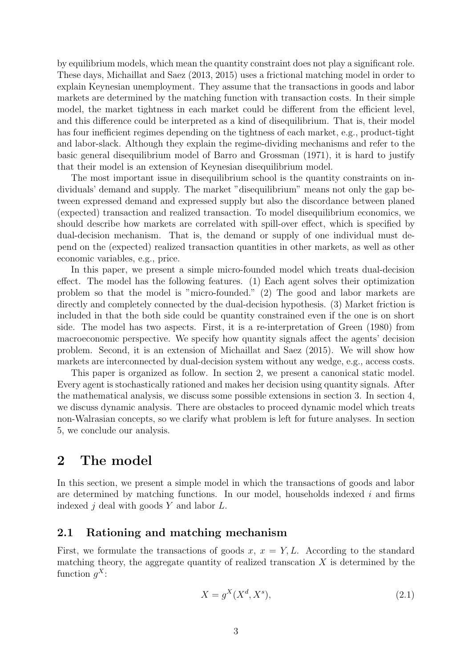by equilibrium models, which mean the quantity constraint does not play a significant role. These days, Michaillat and Saez (2013, 2015) uses a frictional matching model in order to explain Keynesian unemployment. They assume that the transactions in goods and labor markets are determined by the matching function with transaction costs. In their simple model, the market tightness in each market could be different from the efficient level, and this difference could be interpreted as a kind of disequilibrium. That is, their model has four inefficient regimes depending on the tightness of each market, e.g., product-tight and labor-slack. Although they explain the regime-dividing mechanisms and refer to the basic general disequilibrium model of Barro and Grossman (1971), it is hard to justify that their model is an extension of Keynesian disequilibrium model.

The most important issue in disequilibrium school is the quantity constraints on individuals' demand and supply. The market "disequilibrium" means not only the gap between expressed demand and expressed supply but also the discordance between planed (expected) transaction and realized transaction. To model disequilibrium economics, we should describe how markets are correlated with spill-over effect, which is specified by dual-decision mechanism. That is, the demand or supply of one individual must depend on the (expected) realized transaction quantities in other markets, as well as other economic variables, e.g., price.

In this paper, we present a simple micro-founded model which treats dual-decision effect. The model has the following features. (1) Each agent solves their optimization problem so that the model is "micro-founded." (2) The good and labor markets are directly and completely connected by the dual-decision hypothesis. (3) Market friction is included in that the both side could be quantity constrained even if the one is on short side. The model has two aspects. First, it is a re-interpretation of Green (1980) from macroeconomic perspective. We specify how quantity signals affect the agents' decision problem. Second, it is an extension of Michaillat and Saez (2015). We will show how markets are interconnected by dual-decision system without any wedge, e.g., access costs.

This paper is organized as follow. In section 2, we present a canonical static model. Every agent is stochastically rationed and makes her decision using quantity signals. After the mathematical analysis, we discuss some possible extensions in section 3. In section 4, we discuss dynamic analysis. There are obstacles to proceed dynamic model which treats non-Walrasian concepts, so we clarify what problem is left for future analyses. In section 5, we conclude our analysis.

## 2 The model

In this section, we present a simple model in which the transactions of goods and labor are determined by matching functions. In our model, households indexed  $i$  and firms indexed  $j$  deal with goods  $Y$  and labor  $L$ .

### 2.1 Rationing and matching mechanism

First, we formulate the transactions of goods x,  $x = Y, L$ . According to the standard matching theory, the aggregate quantity of realized transcation  $X$  is determined by the function  $g^X$ :

$$
X = g^X(X^d, X^s),\tag{2.1}
$$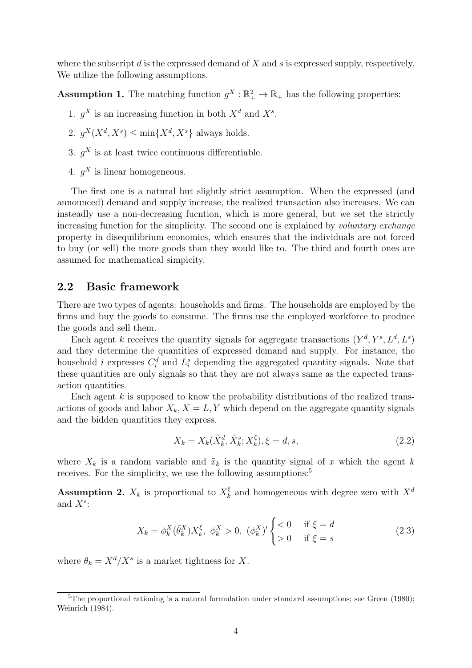where the subscript  $d$  is the expressed demand of  $X$  and  $s$  is expressed supply, respectively. We utilize the following assumptions.

**Assumption 1.** The matching function  $g^X : \mathbb{R}_+^2 \to \mathbb{R}_+$  has the following properties:

- 1.  $g^X$  is an increasing function in both  $X^d$  and  $X^s$ .
- 2.  $g^X(X^d, X^s) \le \min\{X^d, X^s\}$  always holds.
- 3.  $g^X$  is at least twice continuous differentiable.
- 4.  $g^X$  is linear homogeneous.

The first one is a natural but slightly strict assumption. When the expressed (and announced) demand and supply increase, the realized transaction also increases. We can insteadly use a non-decreasing fucntion, which is more general, but we set the strictly increasing function for the simplicity. The second one is explained by *voluntary exchange* property in disequilibrium economics, which ensures that the individuals are not forced to buy (or sell) the more goods than they would like to. The third and fourth ones are assumed for mathematical simpicity.

#### 2.2 Basic framework

There are two types of agents: households and firms. The households are employed by the firms and buy the goods to consume. The firms use the employed workforce to produce the goods and sell them.

Each agent k receives the quantity signals for aggregate transactions  $(Y^d, Y^s, L^d, L^s)$ and they determine the quantities of expressed demand and supply. For instance, the household *i* expresses  $C_i^d$  and  $L_i^s$  depending the aggregated quantity signals. Note that these quantities are only signals so that they are not always same as the expected transaction quantities.

Each agent  $k$  is supposed to know the probability distributions of the realized transactions of goods and labor  $X_k$ ,  $X = L, Y$  which depend on the aggregate quantity signals and the bidden quantities they express.

$$
X_k = X_k(\tilde{X}_k^d, \tilde{X}_k^s; X_k^\xi), \xi = d, s,
$$
\n
$$
(2.2)
$$

where  $X_k$  is a random variable and  $\tilde{x}_k$  is the quantity signal of x which the agent k receives. For the simplicity, we use the following assumptions:<sup>5</sup>

**Assumption 2.**  $X_k$  is proportional to  $X_k^{\xi}$  $\frac{\xi}{k}$  and homogeneous with degree zero with  $X^d$ and  $X^s$ :

$$
X_k = \phi_k^X(\tilde{\theta}_k^X) X_k^{\xi}, \ \phi_k^X > 0, \ (\phi_k^X)' \begin{cases} < 0 & \text{if } \xi = d \\ > 0 & \text{if } \xi = s \end{cases} \tag{2.3}
$$

where  $\theta_k = X^d / X^s$  is a market tightness for X.

<sup>&</sup>lt;sup>5</sup>The proportional rationing is a natural formulation under standard assumptions; see Green (1980); Weinrich (1984).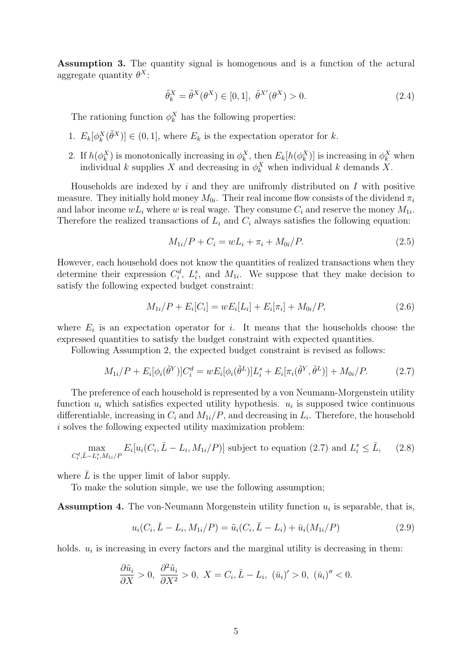Assumption 3. The quantity signal is homogenous and is a function of the actural aggregate quantity  $\theta^X$ :

$$
\tilde{\theta}_k^X = \tilde{\theta}^X(\theta^X) \in [0, 1], \ \tilde{\theta}^{X'}(\theta^X) > 0.
$$
\n(2.4)

The rationing function  $\phi_k^X$  has the following properties:

- 1.  $E_k[\phi_k^X(\tilde{\theta}^X)] \in (0,1],$  where  $E_k$  is the expectation operator for k.
- 2. If  $h(\phi_k^X)$  is monotonically increasing in  $\phi_k^X$ , then  $E_k[h(\phi_k^X)]$  is increasing in  $\phi_k^X$  when individual k supplies X and decreasing in  $\phi_k^X$  when individual k demands X.

Households are indexed by i and they are unifromly distributed on  $I$  with positive measure. They initially hold money  $M_{0i}$ . Their real income flow consists of the dividend  $\pi_i$ and labor income  $wL_i$  where w is real wage. They consume  $C_i$  and reserve the money  $M_{1i}$ . Therefore the realized transactions of  $L_i$  and  $C_i$  always satisfies the following equation:

$$
M_{1i}/P + C_i = wL_i + \pi_i + M_{0i}/P.
$$
\n(2.5)

However, each household does not know the quantities of realized transactions when they determine their expression  $C_i^d$ ,  $L_i^s$ , and  $M_{1i}$ . We suppose that they make decision to satisfy the following expected budget constraint:

$$
M_{1i}/P + E_i[C_i] = wE_i[L_i] + E_i[\pi_i] + M_{0i}/P,
$$
\n(2.6)

where  $E_i$  is an expectation operator for i. It means that the households choose the expressed quantities to satisfy the budget constraint with expected quantities.

Following Assumption 2, the expected budget constraint is revised as follows:

$$
M_{1i}/P + E_i[\phi_i(\tilde{\theta}^Y)]C_i^d = wE_i[\phi_i(\tilde{\theta}^L)]L_i^s + E_i[\pi_i(\tilde{\theta}^Y, \tilde{\theta}^L)] + M_{0i}/P.
$$
 (2.7)

The preference of each household is represented by a von Neumann-Morgenstein utility function  $u_i$  which satisfies expected utility hypothesis.  $u_i$  is supposed twice continuous differentiable, increasing in  $C_i$  and  $M_{1i}/P$ , and decreasing in  $L_i$ . Therefore, the household i solves the following expected utility maximization problem:

$$
\max_{C_i^d, \bar{L} - L_i^s, M_{1i}/P} E_i[u_i(C_i, \bar{L} - L_i, M_{1i}/P)]
$$
 subject to equation (2.7) and  $L_i^s \leq \bar{L}$ , (2.8)

where  $\overline{L}$  is the upper limit of labor supply.

To make the solution simple, we use the following assumption;

**Assumption 4.** The von-Neumann Morgenstein utility function  $u_i$  is separable, that is,

$$
u_i(C_i, \bar{L} - L_i, M_{1i}/P) = \tilde{u}_i(C_i, \bar{L} - L_i) + \bar{u}_i(M_{1i}/P)
$$
\n(2.9)

holds.  $u_i$  is increasing in every factors and the marginal utility is decreasing in them:

$$
\frac{\partial \tilde{u}_i}{\partial X} > 0, \ \frac{\partial^2 \tilde{u}_i}{\partial X^2} > 0, \ X = C_i, \bar{L} - L_i, \ (\bar{u}_i)' > 0, \ (\bar{u}_i)'' < 0.
$$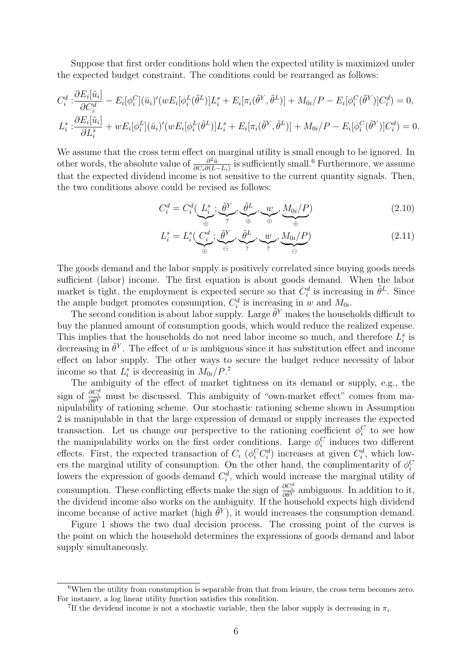Suppose that first order conditions hold when the expected utility is maximized under the expected budget constraint. The conditions could be rearranged as follows:

$$
C_i^d: \frac{\partial E_i[\tilde{u}_i]}{\partial C_i^d} - E_i[\phi_i^C](\bar{u}_i)'(wE_i[\phi_i^L(\tilde{\theta}^L)]L_i^s + E_i[\pi_i(\tilde{\theta}^Y, \tilde{\theta}^L)] + M_{0i}/P - E_i[\phi_i^C(\tilde{\theta}^Y)]C_i^d) = 0,
$$
  

$$
L_i^s: \frac{\partial E_i[\tilde{u}_i]}{\partial L_i^s} + wE_i[\phi_i^L](\bar{u}_i)'(wE_i[\phi_i^L(\tilde{\theta}^L)]L_i^s + E_i[\pi_i(\tilde{\theta}^Y, \tilde{\theta}^L)] + M_{0i}/P - E_i[\phi_i^C(\tilde{\theta}^Y)]C_i^d) = 0.
$$

We assume that the cross term effect on marginal utility is small enough to be ignored. In other words, the absolute value of  $\frac{\partial^2 \tilde{u}}{\partial C \cdot \partial (\bar{L})}$  $\frac{\partial^2 \tilde{u}}{\partial C_i \partial (\bar{L} - L_i)}$  is sufficiently small.<sup>6</sup> Furthermore, we assume that the expected dividend income is not sensitive to the current quantity signals. Then, the two conditions above could be revised as follows:

$$
C_i^d = C_i^d(\underbrace{L_i^s}_{\oplus}; \underbrace{\tilde{\theta}^Y}_{?}, \underbrace{\tilde{\theta}^L}_{\oplus}, \underbrace{w}_{\oplus}, \underbrace{M_{0i}/P}_{\oplus})
$$
(2.10)

$$
L_i^s = L_i^s(\underbrace{C_i^d}_{\oplus}; \underbrace{\tilde{\theta}^Y}_{\ominus}, \underbrace{\tilde{\theta}^L}_{?}, \underbrace{w}_{?}, \underbrace{M_{0i}/P}_{\ominus})
$$
\n(2.11)

The goods demand and the labor supply is positively correlated since buying goods needs sufficient (labor) income. The first equation is about goods demand. When the labor market is tight, the employment is expected secure so that  $C_i^d$  is increasing in  $\tilde{\theta}^L$ . Since the ample budget promotes consumption,  $C_i^d$  is increasing in w and  $M_{0i}$ .

The second condition is about labor supply. Large  $\tilde{\theta}^{Y}$  makes the households difficult to buy the planned amount of consumption goods, which would reduce the realized expense. This implies that the households do not need labor income so much, and therefore  $L_i^s$  is decreasing in  $\tilde{\theta}^Y$ . The effect of w is ambiguous since it has substitution effect and income effect on labor supply. The other ways to secure the budget reduce necessity of labor income so that  $L_i^s$  is decreasing in  $M_{0i}/P$ .<sup>7</sup>

The ambiguity of the effect of market tightness on its demand or supply, e.g., the sign of  $\frac{\partial C_i^d}{\partial \theta^Y}$  must be discussed. This ambiguity of "own-market effect" comes from manipulability of rationing scheme. Our stochastic rationing scheme shown in Assumption 2 is manipulable in that the large expression of demand or supply increases the expected transaction. Let us change our perspective to the rationing coefficient  $\phi_i^C$  to see how the manipulability works on the first order conditions. Large  $\phi_i^C$  induces two different effects. First, the expected transaction of  $C_i$  ( $\phi_i^C C_i^d$ ) increases at given  $C_i^d$ , which lowers the marginal utility of consumption. On the other hand, the complimentarity of  $\phi_i^C$ lowers the expression of goods demand  $C_i^d$ , which would increase the marginal utility of consumption. These conflicting effects make the sign of  $\frac{\partial C_i^d}{\partial \theta^Y}$  ambiguous. In addition to it, the dividend income also works on the ambiguity. If the household expects high dividend income because of active market (high  $\tilde{\theta}^{Y}$ ), it would increases the consumption demand.

Figure 1 shows the two dual decision process. The crossing point of the curves is the point on which the household determines the expressions of goods demand and labor supply simultaneously.

<sup>&</sup>lt;sup>6</sup>When the utility from consumption is separable from that from leisure, the cross term becomes zero. For instance, a log linear utility function satisfies this condition.

<sup>&</sup>lt;sup>7</sup>If the devidend income is not a stochastic variable, then the labor supply is decreasing in  $\pi_i$ .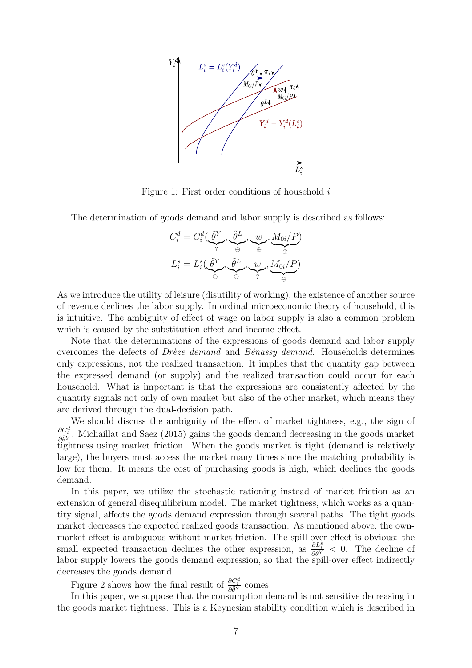

Figure 1: First order conditions of household i

The determination of goods demand and labor supply is described as follows:

$$
C_i^d = C_i^d(\underbrace{\tilde{\theta}^Y}_{?}, \underbrace{\tilde{\theta}^L}_{\oplus}, \underbrace{w}_{\oplus}, \underbrace{M_{0i}/P}_{\oplus})
$$

$$
L_i^s = L_i^s(\underbrace{\tilde{\theta}^Y}_{\ominus}, \underbrace{\tilde{\theta}^L}_{\ominus}, \underbrace{w}_{?}, \underbrace{M_{0i}/P}_{\ominus})
$$

As we introduce the utility of leisure (disutility of working), the existence of another source of revenue declines the labor supply. In ordinal microeconomic theory of household, this is intuitive. The ambiguity of effect of wage on labor supply is also a common problem which is caused by the substitution effect and income effect.

Note that the determinations of the expressions of goods demand and labor supply overcomes the defects of Drèze demand and Bénassy demand. Households determines only expressions, not the realized transaction. It implies that the quantity gap between the expressed demand (or supply) and the realized transaction could occur for each household. What is important is that the expressions are consistently affected by the quantity signals not only of own market but also of the other market, which means they are derived through the dual-decision path.

We should discuss the ambiguity of the effect of market tightness, e.g., the sign of  $\frac{\partial C_i^d}{\partial \theta^Y}$ . Michaillat and Saez (2015) gains the goods demand decreasing in the goods market tightness using market friction. When the goods market is tight (demand is relatively large), the buyers must access the market many times since the matching probability is low for them. It means the cost of purchasing goods is high, which declines the goods demand.

In this paper, we utilize the stochastic rationing instead of market friction as an extension of general disequilibrium model. The market tightness, which works as a quantity signal, affects the goods demand expression through several paths. The tight goods market decreases the expected realized goods transaction. As mentioned above, the ownmarket effect is ambiguous without market friction. The spill-over effect is obvious: the small expected transaction declines the other expression, as  $\frac{\partial L_i^s}{\partial \theta^Y}$  < 0. The decline of labor supply lowers the goods demand expression, so that the spill-over effect indirectly decreases the goods demand.

Figure 2 shows how the final result of  $\frac{\partial C_i^d}{\partial \tilde{\theta}^Y}$  comes.

In this paper, we suppose that the consumption demand is not sensitive decreasing in the goods market tightness. This is a Keynesian stability condition which is described in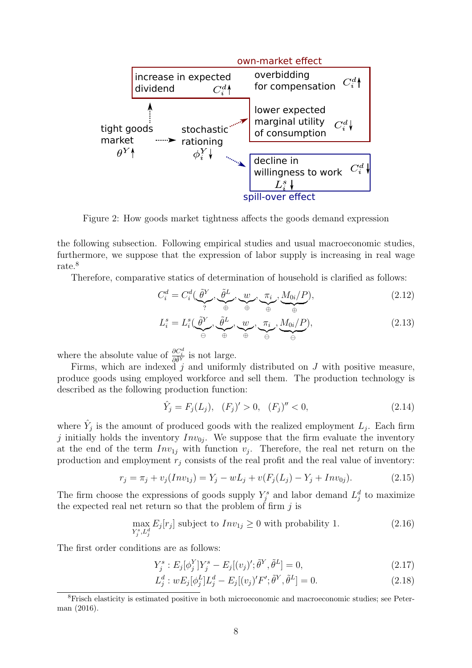

Figure 2: How goods market tightness affects the goods demand expression

the following subsection. Following empirical studies and usual macroeconomic studies, furthermore, we suppose that the expression of labor supply is increasing in real wage rate.<sup>8</sup>

Therefore, comparative statics of determination of household is clarified as follows:

$$
C_i^d = C_i^d(\underbrace{\tilde{\theta}^Y}_{?}, \underbrace{\tilde{\theta}^L}_{\oplus}, \underbrace{w}_{\oplus}, \underbrace{\pi_i}_{\oplus}, \underbrace{M_{0i}/P}_{\oplus}), \tag{2.12}
$$

$$
L_i^s = L_i^s(\underbrace{\tilde{\theta}^Y}_{\oplus}, \underbrace{\tilde{\theta}^L}_{\oplus}, \underbrace{w}_{\oplus}, \underbrace{\pi_i}_{\ominus}, \underbrace{M_{0i}/P}_{\ominus}), \tag{2.13}
$$

where the absolute value of  $\frac{\partial C_i^d}{\partial \tilde{\theta}^Y}$  is not large.

Firms, which are indexed j and uniformly distributed on  $J$  with positive measure, produce goods using employed workforce and sell them. The production technology is described as the following production function:

$$
\hat{Y}_j = F_j(L_j), \quad (F_j)' > 0, \quad (F_j)'' < 0,\tag{2.14}
$$

where  $\hat{Y}_j$  is the amount of produced goods with the realized employment  $L_j$ . Each firm j initially holds the inventory  $Inv_{0j}$ . We suppose that the firm evaluate the inventory at the end of the term  $Inv_{1j}$  with function  $v_j$ . Therefore, the real net return on the production and employment  $r_i$  consists of the real profit and the real value of inventory:

$$
r_j = \pi_j + v_j(Inv_{1j}) = Y_j - wL_j + v(F_j(L_j) - Y_j + Inv_{0j}).
$$
\n(2.15)

The firm choose the expressions of goods supply  $Y_j^s$  and labor demand  $L_j^d$  to maximize the expected real net return so that the problem of firm  $j$  is

$$
\max_{Y_j^s, L_j^d} E_j[r_j] \text{ subject to } Inv_{1j} \ge 0 \text{ with probability 1.}
$$
 (2.16)

The first order conditions are as follows:

$$
Y_j^s : E_j[\phi_j^Y]Y_j^s - E_j[(v_j)';\tilde{\theta}^Y,\tilde{\theta}^L] = 0,
$$
\n(2.17)

$$
L_j^d: wE_j[\phi_j^L]L_j^d - E_j[(v_j)'F';\tilde{\theta}^Y,\tilde{\theta}^L] = 0.
$$
 (2.18)

<sup>8</sup>Frisch elasticity is estimated positive in both microeconomic and macroeconomic studies; see Peterman (2016).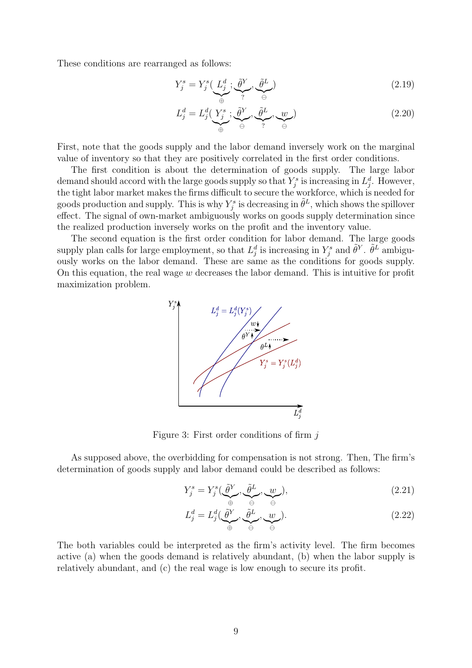These conditions are rearranged as follows:

$$
Y_j^s = Y_j^s(\underbrace{L_j^d}_{\oplus}; \underbrace{\tilde{\theta}^Y}_{?}, \underbrace{\tilde{\theta}^L}_{\ominus})
$$
\n(2.19)

$$
L_j^d = L_j^d(\underbrace{Y_j^s}_{\oplus}; \underbrace{\tilde{\theta}^Y}_{\ominus}, \underbrace{\tilde{\theta}^L}_{?}, \underbrace{w}_{\ominus})
$$
\n(2.20)

First, note that the goods supply and the labor demand inversely work on the marginal value of inventory so that they are positively correlated in the first order conditions.

The first condition is about the determination of goods supply. The large labor demand should accord with the large goods supply so that  $Y_j^s$  is increasing in  $L_j^d$ . However, the tight labor market makes the firms difficult to secure the workforce, which is needed for goods production and supply. This is why  $Y_j^s$  is decreasing in  $\tilde{\theta}^L$ , which shows the spillover effect. The signal of own-market ambiguously works on goods supply determination since the realized production inversely works on the profit and the inventory value.

The second equation is the first order condition for labor demand. The large goods supply plan calls for large employment, so that  $L_j^d$  is increasing in  $Y_j^s$  and  $\tilde{\theta}^Y$ .  $\tilde{\theta}^L$  ambiguously works on the labor demand. These are same as the conditions for goods supply. On this equation, the real wage  $w$  decreases the labor demand. This is intuitive for profit maximization problem.



Figure 3: First order conditions of firm  $j$ 

As supposed above, the overbidding for compensation is not strong. Then, The firm's determination of goods supply and labor demand could be described as follows:

$$
Y_j^s = Y_j^s(\underbrace{\tilde{\theta}^Y}_{\oplus}, \underbrace{\tilde{\theta}^L}_{\ominus}, \underbrace{w}_{\ominus}), \tag{2.21}
$$

$$
L_j^d = L_j^d(\underbrace{\tilde{\theta}^Y}_{\oplus}, \underbrace{\tilde{\theta}^L}_{\ominus}, \underbrace{w}_{\ominus}). \tag{2.22}
$$

The both variables could be interpreted as the firm's activity level. The firm becomes active (a) when the goods demand is relatively abundant, (b) when the labor supply is relatively abundant, and (c) the real wage is low enough to secure its profit.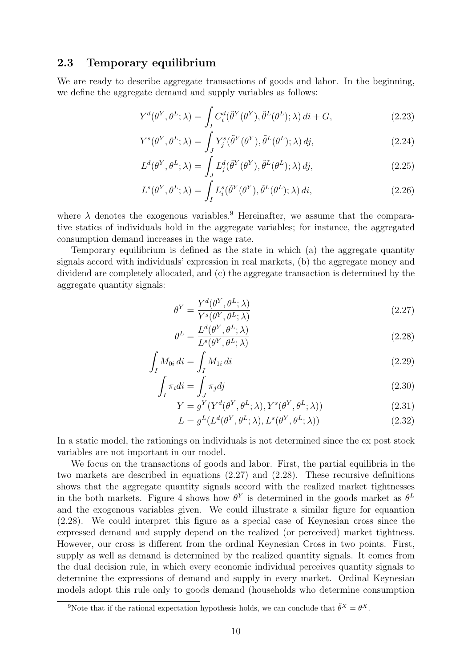#### 2.3 Temporary equilibrium

We are ready to describe aggregate transactions of goods and labor. In the beginning, we define the aggregate demand and supply variables as follows:

$$
Y^{d}(\theta^{Y}, \theta^{L}; \lambda) = \int_{I} C_{i}^{d}(\tilde{\theta}^{Y}(\theta^{Y}), \tilde{\theta}^{L}(\theta^{L}); \lambda) di + G,
$$
\n(2.23)

$$
Y^{s}(\theta^{Y}, \theta^{L}; \lambda) = \int_{J} Y_{j}^{s}(\tilde{\theta}^{Y}(\theta^{Y}), \tilde{\theta}^{L}(\theta^{L}); \lambda) d j,
$$
\n(2.24)

$$
L^{d}(\theta^{Y}, \theta^{L}; \lambda) = \int_{J} L_{j}^{d}(\tilde{\theta}^{Y}(\theta^{Y}), \tilde{\theta}^{L}(\theta^{L}); \lambda) d j,
$$
\n(2.25)

$$
L^{s}(\theta^{Y}, \theta^{L}; \lambda) = \int_{I} L_{i}^{s}(\tilde{\theta}^{Y}(\theta^{Y}), \tilde{\theta}^{L}(\theta^{L}); \lambda) di,
$$
\n(2.26)

where  $\lambda$  denotes the exogenous variables.<sup>9</sup> Hereinafter, we assume that the comparative statics of individuals hold in the aggregate variables; for instance, the aggregated consumption demand increases in the wage rate.

Temporary equilibrium is defined as the state in which (a) the aggregate quantity signals accord with individuals' expression in real markets, (b) the aggregate money and dividend are completely allocated, and (c) the aggregate transaction is determined by the aggregate quantity signals:

$$
\theta^Y = \frac{Y^d(\theta^Y, \theta^L; \lambda)}{Y^s(\theta^Y, \theta^L; \lambda)}
$$
\n(2.27)

$$
\theta^{L} = \frac{L^{d}(\theta^{Y}, \theta^{L}; \lambda)}{L^{s}(\theta^{Y}, \theta^{L}; \lambda)}
$$
\n(2.28)

$$
\int_{I} M_{0i} \, di = \int_{I} M_{1i} \, di \tag{2.29}
$$

$$
\int_{I} \pi_{i} di = \int_{J} \pi_{j} dj \tag{2.30}
$$

$$
Y = g^{Y}(Y^d(\theta^Y, \theta^L; \lambda), Y^s(\theta^Y, \theta^L; \lambda))
$$
\n(2.31)

$$
L = g^{L}(L^{d}(\theta^{Y}, \theta^{L}; \lambda), L^{s}(\theta^{Y}, \theta^{L}; \lambda))
$$
\n(2.32)

In a static model, the rationings on individuals is not determined since the ex post stock variables are not important in our model.

We focus on the transactions of goods and labor. First, the partial equilibria in the two markets are described in equations (2.27) and (2.28). These recursive definitions shows that the aggregate quantity signals accord with the realized market tightnesses in the both markets. Figure 4 shows how  $\theta^{Y}$  is determined in the goods market as  $\theta^{L}$ and the exogenous variables given. We could illustrate a similar figure for equantion (2.28). We could interpret this figure as a special case of Keynesian cross since the expressed demand and supply depend on the realized (or perceived) market tightness. However, our cross is different from the ordinal Keynesian Cross in two points. First, supply as well as demand is determined by the realized quantity signals. It comes from the dual decision rule, in which every economic individual perceives quantity signals to determine the expressions of demand and supply in every market. Ordinal Keynesian models adopt this rule only to goods demand (households who determine consumption

<sup>&</sup>lt;sup>9</sup>Note that if the rational expectation hypothesis holds, we can conclude that  $\tilde{\theta}^X = \theta^X$ .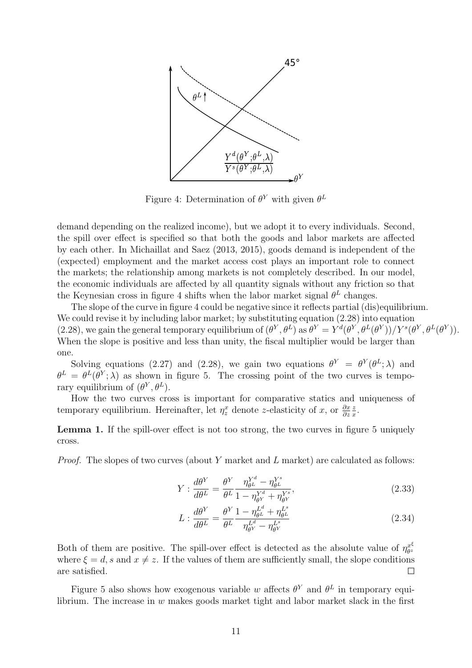

Figure 4: Determination of  $\theta^{Y}$  with given  $\theta^{L}$ 

demand depending on the realized income), but we adopt it to every individuals. Second, the spill over effect is specified so that both the goods and labor markets are affected by each other. In Michaillat and Saez (2013, 2015), goods demand is independent of the (expected) employment and the market access cost plays an important role to connect the markets; the relationship among markets is not completely described. In our model, the economic individuals are affected by all quantity signals without any friction so that the Keynesian cross in figure 4 shifts when the labor market signal  $\theta^L$  changes.

The slope of the curve in figure 4 could be negative since it reflects partial (dis)equilibrium. We could revise it by including labor market; by substituting equation  $(2.28)$  into equation (2.28), we gain the general temporary equilibrium of  $(\theta^Y, \theta^L)$  as  $\theta^Y = Y^d(\theta^Y, \theta^L(\theta^Y))/Y^s(\theta^Y, \theta^L(\theta^Y)).$ When the slope is positive and less than unity, the fiscal multiplier would be larger than one.

Solving equations (2.27) and (2.28), we gain two equations  $\theta^Y = \theta^Y(\theta^L; \lambda)$  and  $\theta^L = \theta^L(\theta^Y;\lambda)$  as shown in figure 5. The crossing point of the two curves is temporary equilibrium of  $(\theta^Y, \theta^L)$ .

How the two curves cross is important for comparative statics and uniqueness of temporary equilibrium. Hereinafter, let  $\eta_z^x$  denote z-elasticity of x, or  $\frac{\partial x}{\partial z}$ z  $\frac{z}{x}$ .

Lemma 1. If the spill-over effect is not too strong, the two curves in figure 5 uniquely cross.

*Proof.* The slopes of two curves (about Y market and L market) are calculated as follows:

$$
Y: \frac{d\theta^Y}{d\theta^L} = \frac{\theta^Y}{\theta^L} \frac{\eta_{\theta^L}^{Y^d} - \eta_{\theta^L}^{Y^s}}{1 - \eta_{\theta^Y}^{Y^d} + \eta_{\theta^Y}^{Y^s}},
$$
\n(2.33)

$$
L: \frac{d\theta^Y}{d\theta^L} = \frac{\theta^Y}{\theta^L} \frac{1 - \eta_{\theta^L}^{L^d} + \eta_{\theta^L}^{L^s}}{\eta_{\theta^Y}^{L^d} - \eta_{\theta^Y}^{L^s}}
$$
(2.34)

Both of them are positive. The spill-over effect is detected as the absolute value of  $\eta_{\theta^z}^{x^{\xi}}$  $\theta^z$ where  $\xi = d$ , s and  $x \neq z$ . If the values of them are sufficiently small, the slope conditions are satisfied.  $\Box$ 

Figure 5 also shows how exogenous variable w affects  $\theta^{Y}$  and  $\theta^{L}$  in temporary equilibrium. The increase in  $w$  makes goods market tight and labor market slack in the first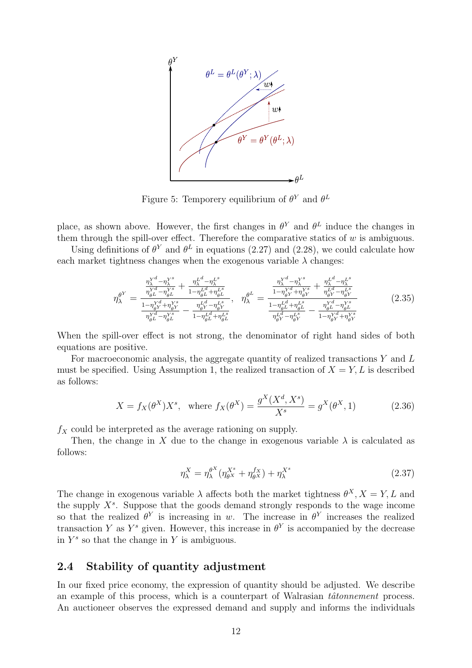

Figure 5: Temporery equilibrium of  $\theta^Y$  and  $\theta^L$ 

place, as shown above. However, the first changes in  $\theta^{Y}$  and  $\theta^{L}$  induce the changes in them through the spill-over effect. Therefore the comparative statics of  $w$  is ambiguous.

Using definitions of  $\theta^Y$  and  $\theta^L$  in equations (2.27) and (2.28), we could calculate how each market tightness changes when the exogenous variable  $\lambda$  changes:

$$
\eta_{\lambda}^{\theta^Y} = \frac{\frac{\eta_{\lambda}^{Y^d} - \eta_{\lambda}^{Y^s}}{\eta_{\theta^L}^{Y^d} - \eta_{\theta^L}^{Y^s}} + \frac{\eta_{\lambda}^{L^d} - \eta_{\lambda}^{L^s}}{1 - \eta_{\theta^L}^{L^d} + \eta_{\theta^L}^{L^s}}}{\frac{1 - \eta_{\theta^Y}^{Y^d} + \eta_{\theta^Y}^{Y^s}}{\eta_{\theta^L}^{Y^d} - \eta_{\theta^Y}^{Y^s}} - \frac{\eta_{\theta^L}^{L^d} - \eta_{\theta^L}^{L^s}}{1 - \eta_{\theta^L}^{L^d} - \eta_{\theta^Y}^{L^s}}}{\frac{1 - \eta_{\theta^Y}^{L^d} - \eta_{\theta^Y}^{L^s}}{\eta_{\theta^L}^{L^s} - \eta_{\theta^Y}^{L^s}}}\right}
$$
\n
$$
\eta_{\lambda}^{\theta^L} = \frac{\frac{\eta_{\lambda}^{Y^d} - \eta_{\lambda}^{Y^s}}{1 - \eta_{\theta^L}^{Y^d} + \eta_{\theta^Y}^{Y^s}} + \frac{\eta_{\mu}^{L^d} - \eta_{\mu^Y}^{L^s}}{\eta_{\theta^L}^{L^s} - \eta_{\theta^L}^{L^s}}}{\frac{1 - \eta_{\theta^L}^{L^d} + \eta_{\theta^L}^{L^s}}{\eta_{\theta^Y}^{L^s} - \eta_{\theta^Y}^{L^s}} - \frac{\eta_{\theta^L}^{Y^d} - \eta_{\theta^Y}^{Y^s}}{1 - \eta_{\theta^Y}^{Y^d} + \eta_{\theta^Y}^{Y^s}}}
$$
\n
$$
(2.35)
$$

When the spill-over effect is not strong, the denominator of right hand sides of both equations are positive.

For macroeconomic analysis, the aggregate quantity of realized transactions  $Y$  and  $L$ must be specified. Using Assumption 1, the realized transaction of  $X = Y, L$  is described as follows:

$$
X = f_X(\theta^X) X^s, \text{ where } f_X(\theta^X) = \frac{g^X(X^d, X^s)}{X^s} = g^X(\theta^X, 1)
$$
 (2.36)

 $f_X$  could be interpreted as the average rationing on supply.

Then, the change in X due to the change in exogenous variable  $\lambda$  is calculated as follows:

$$
\eta_{\lambda}^{X} = \eta_{\lambda}^{\theta^{X}} (\eta_{\theta^{X}}^{X^{s}} + \eta_{\theta^{X}}^{f_{X}}) + \eta_{\lambda}^{X^{s}} \tag{2.37}
$$

The change in exogenous variable  $\lambda$  affects both the market tightness  $\theta^X$ ,  $X = Y$ , L and the supply  $X<sup>s</sup>$ . Suppose that the goods demand strongly responds to the wage income so that the realized  $\theta^Y$  is increasing in w. The increase in  $\theta^Y$  increases the realized transaction Y as  $Y^s$  given. However, this increase in  $\theta^Y$  is accompanied by the decrease in  $Y^s$  so that the change in Y is ambiguous.

## 2.4 Stability of quantity adjustment

In our fixed price economy, the expression of quantity should be adjusted. We describe an example of this process, which is a counterpart of Walrasian  $t\hat{a}tonnement$  process. An auctioneer observes the expressed demand and supply and informs the individuals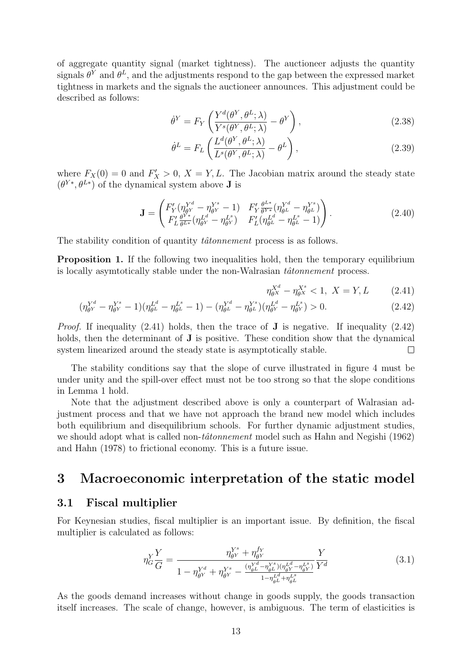of aggregate quantity signal (market tightness). The auctioneer adjusts the quantity signals  $\theta^Y$  and  $\theta^L$ , and the adjustments respond to the gap between the expressed market tightness in markets and the signals the auctioneer announces. This adjustment could be described as follows:

$$
\dot{\theta}^Y = F_Y \left( \frac{Y^d(\theta^Y, \theta^L; \lambda)}{Y^s(\theta^Y, \theta^L; \lambda)} - \theta^Y \right),\tag{2.38}
$$

$$
\dot{\theta}^{L} = F_{L} \left( \frac{L^{d}(\theta^{Y}, \theta^{L}; \lambda)}{L^{s}(\theta^{Y}, \theta^{L}; \lambda)} - \theta^{L} \right), \qquad (2.39)
$$

where  $F_X(0) = 0$  and  $F'_X > 0$ ,  $X = Y, L$ . The Jacobian matrix around the steady state  $(\theta^{Y*}, \theta^{L*})$  of the dynamical system above **J** is

$$
\mathbf{J} = \begin{pmatrix} F'_Y(\eta_{\theta Y}^{Y^d} - \eta_{\theta Y}^{Y^s} - 1) & F'_Y \frac{\theta^{L*}}{\theta^{Y*}} (\eta_{\theta L}^{Y^d} - \eta_{\theta L}^{Y^s}) \\ F'_L \frac{\theta^{Y*}}{\theta^{L*}} (\eta_{\theta Y}^{L^d} - \eta_{\theta Y}^{L^s}) & F'_L (\eta_{\theta L}^{L^d} - \eta_{\theta L}^{L^s} - 1) \end{pmatrix} . \tag{2.40}
$$

The stability condition of quantity *tâtonnement* process is as follows.

Proposition 1. If the following two inequalities hold, then the temporary equilibrium is locally asymtotically stable under the non-Walrasian  $t\hat{a}tonnement$  process.

$$
\eta_{\theta^X}^{X^d} - \eta_{\theta^X}^{X^s} < 1, \ X = Y, L \tag{2.41}
$$

$$
(\eta_{\theta^Y}^{Y^d} - \eta_{\theta^Y}^{Y^s} - 1)(\eta_{\theta^L}^{L^d} - \eta_{\theta^L}^{L^s} - 1) - (\eta_{\theta^L}^{Y^d} - \eta_{\theta^L}^{Y^s})(\eta_{\theta^Y}^{L^d} - \eta_{\theta^Y}^{L^s}) > 0.
$$
\n(2.42)

*Proof.* If inequality  $(2.41)$  holds, then the trace of **J** is negative. If inequality  $(2.42)$ holds, then the determinant of **J** is positive. These condition show that the dynamical system linearized around the steady state is asymptotically stable.  $\Box$ 

The stability conditions say that the slope of curve illustrated in figure 4 must be under unity and the spill-over effect must not be too strong so that the slope conditions in Lemma 1 hold.

Note that the adjustment described above is only a counterpart of Walrasian adjustment process and that we have not approach the brand new model which includes both equilibrium and disequilibrium schools. For further dynamic adjustment studies, we should adopt what is called non- $t\hat{a}tonnement$  model such as Hahn and Negishi (1962) and Hahn (1978) to frictional economy. This is a future issue.

## 3 Macroeconomic interpretation of the static model

#### 3.1 Fiscal multiplier

For Keynesian studies, fiscal multiplier is an important issue. By definition, the fiscal multiplier is calculated as follows:

$$
\eta_G^Y \frac{Y}{G} = \frac{\eta_{\theta Y}^{Y^s} + \eta_{\theta Y}^{f_Y}}{1 - \eta_{\theta Y}^{Y^d} + \eta_{\theta Y}^{Y^s} - \frac{(\eta_{\theta L}^{Y^d} - \eta_{\theta L}^{Y^s})(\eta_{\theta Y}^{L^d} - \eta_{\theta Y}^{L^s})}{1 - \eta_{\theta L}^{L^d} + \eta_{\theta L}^{L^s}} \frac{Y}{Y^d}
$$
\n(3.1)

As the goods demand increases without change in goods supply, the goods transaction itself increases. The scale of change, however, is ambiguous. The term of elasticities is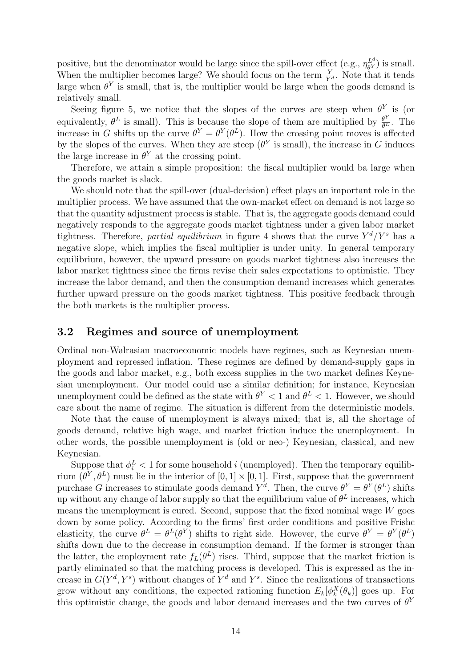positive, but the denominator would be large since the spill-over effect (e.g.,  $\eta_{\theta Y}^{L^d}$  $\theta_{\theta Y}^{L^a}$ ) is small. When the multiplier becomes large? We should focus on the term  $\frac{Y}{Y^d}$ . Note that it tends large when  $\theta^{Y}$  is small, that is, the multiplier would be large when the goods demand is relatively small.

Seeing figure 5, we notice that the slopes of the curves are steep when  $\theta^{Y}$  is (or equivalently,  $\theta^L$  is small). This is because the slope of them are multiplied by  $\frac{\theta^Y}{\theta^L}$ . The increase in G shifts up the curve  $\theta^Y = \theta^Y(\theta^L)$ . How the crossing point moves is affected by the slopes of the curves. When they are steep  $(\theta^Y)$  is small), the increase in G induces the large increase in  $\theta^{Y}$  at the crossing point.

Therefore, we attain a simple proposition: the fiscal multiplier would ba large when the goods market is slack.

We should note that the spill-over (dual-decision) effect plays an important role in the multiplier process. We have assumed that the own-market effect on demand is not large so that the quantity adjustment process is stable. That is, the aggregate goods demand could negatively responds to the aggregate goods market tightness under a given labor market tightness. Therefore, partial equilibrium in figure 4 shows that the curve  $Y^d/Y^s$  has a negative slope, which implies the fiscal multiplier is under unity. In general temporary equilibrium, however, the upward pressure on goods market tightness also increases the labor market tightness since the firms revise their sales expectations to optimistic. They increase the labor demand, and then the consumption demand increases which generates further upward pressure on the goods market tightness. This positive feedback through the both markets is the multiplier process.

### 3.2 Regimes and source of unemployment

Ordinal non-Walrasian macroeconomic models have regimes, such as Keynesian unemployment and repressed inflation. These regimes are defined by demand-supply gaps in the goods and labor market, e.g., both excess supplies in the two market defines Keynesian unemployment. Our model could use a similar definition; for instance, Keynesian unemployment could be defined as the state with  $\theta^{Y} < 1$  and  $\theta^{L} < 1$ . However, we should care about the name of regime. The situation is different from the deterministic models.

Note that the cause of unemployment is always mixed; that is, all the shortage of goods demand, relative high wage, and market friction induce the unemployment. In other words, the possible unemployment is (old or neo-) Keynesian, classical, and new Keynesian.

Suppose that  $\phi_i^L < 1$  for some household i (unemployed). Then the temporary equilibrium  $(\theta^Y, \theta^L)$  must lie in the interior of  $[0, 1] \times [0, 1]$ . First, suppose that the government purchase G increases to stimulate goods demand  $Y^d$ . Then, the curve  $\theta^Y = \theta^Y(\theta^L)$  shifts up without any change of labor supply so that the equilibrium value of  $\theta^L$  increases, which means the unemployment is cured. Second, suppose that the fixed nominal wage  $W$  goes down by some policy. According to the firms' first order conditions and positive Frishc elasticity, the curve  $\theta^L = \theta^L(\theta^Y)$  shifts to right side. However, the curve  $\theta^Y = \theta^Y(\theta^L)$ shifts down due to the decrease in consumption demand. If the former is stronger than the latter, the employment rate  $f_L(\theta^L)$  rises. Third, suppose that the market friction is partly eliminated so that the matching process is developed. This is expressed as the increase in  $G(Y^d, Y^s)$  without changes of  $Y^d$  and  $Y^s$ . Since the realizations of transactions grow without any conditions, the expected rationing function  $E_k[\phi_k^X(\theta_k)]$  goes up. For this optimistic change, the goods and labor demand increases and the two curves of  $\theta^Y$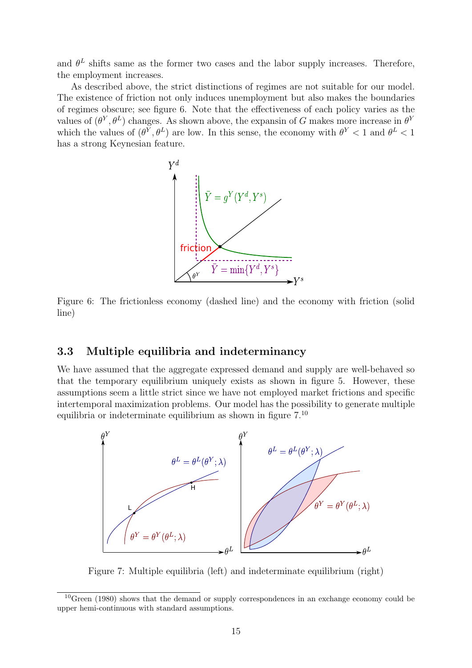and  $\theta^L$  shifts same as the former two cases and the labor supply increases. Therefore, the employment increases.

As described above, the strict distinctions of regimes are not suitable for our model. The existence of friction not only induces unemployment but also makes the boundaries of regimes obscure; see figure 6. Note that the effectiveness of each policy varies as the values of  $(\theta^Y, \theta^L)$  changes. As shown above, the expansin of G makes more increase in  $\theta^Y$ which the values of  $(\theta^Y, \theta^L)$  are low. In this sense, the economy with  $\theta^Y < 1$  and  $\theta^L < 1$ has a strong Keynesian feature.



Figure 6: The frictionless economy (dashed line) and the economy with friction (solid line)

## 3.3 Multiple equilibria and indeterminancy

We have assumed that the aggregate expressed demand and supply are well-behaved so that the temporary equilibrium uniquely exists as shown in figure 5. However, these assumptions seem a little strict since we have not employed market frictions and specific intertemporal maximization problems. Our model has the possibility to generate multiple equilibria or indeterminate equilibrium as shown in figure  $7.^{10}$ 



Figure 7: Multiple equilibria (left) and indeterminate equilibrium (right)

<sup>&</sup>lt;sup>10</sup>Green (1980) shows that the demand or supply correspondences in an exchange economy could be upper hemi-continuous with standard assumptions.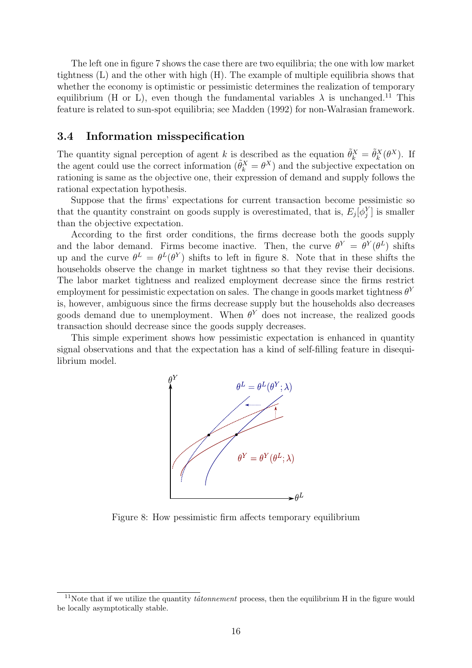The left one in figure 7 shows the case there are two equilibria; the one with low market tightness (L) and the other with high (H). The example of multiple equilibria shows that whether the economy is optimistic or pessimistic determines the realization of temporary equilibrium (H or L), even though the fundamental variables  $\lambda$  is unchanged.<sup>11</sup> This feature is related to sun-spot equilibria; see Madden (1992) for non-Walrasian framework.

#### 3.4 Information misspecification

The quantity signal perception of agent k is described as the equation  $\tilde{\theta}_k^X = \tilde{\theta}_k^X(\theta^X)$ . If the agent could use the correct information  $(\tilde{\theta}_k^X = \theta^X)$  and the subjective expectation on rationing is same as the objective one, their expression of demand and supply follows the rational expectation hypothesis.

Suppose that the firms' expectations for current transaction become pessimistic so that the quantity constraint on goods supply is overestimated, that is,  $E_j[\phi_j^Y]$  is smaller than the objective expectation.

According to the first order conditions, the firms decrease both the goods supply and the labor demand. Firms become inactive. Then, the curve  $\theta^Y = \theta^Y(\theta^L)$  shifts up and the curve  $\theta^L = \theta^L(\theta^Y)$  shifts to left in figure 8. Note that in these shifts the households observe the change in market tightness so that they revise their decisions. The labor market tightness and realized employment decrease since the firms restrict employment for pessimistic expectation on sales. The change in goods market tightness  $\theta^{Y}$ is, however, ambiguous since the firms decrease supply but the households also decreases goods demand due to unemployment. When  $\theta^{Y}$  does not increase, the realized goods transaction should decrease since the goods supply decreases.

This simple experiment shows how pessimistic expectation is enhanced in quantity signal observations and that the expectation has a kind of self-filling feature in disequilibrium model.



Figure 8: How pessimistic firm affects temporary equilibrium

<sup>&</sup>lt;sup>11</sup>Note that if we utilize the quantity *tâtonnement* process, then the equilibrium H in the figure would be locally asymptotically stable.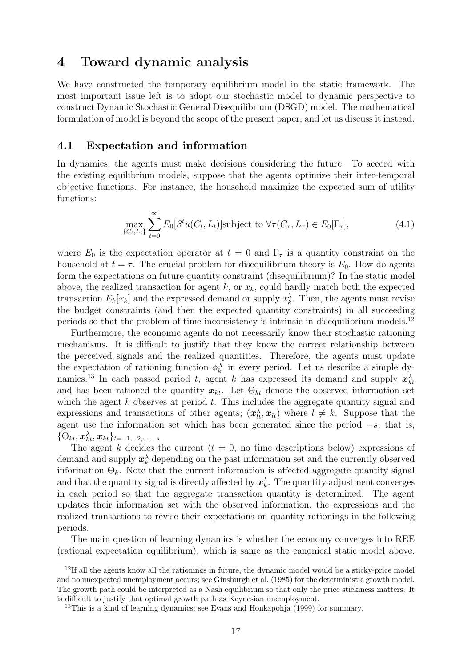## 4 Toward dynamic analysis

We have constructed the temporary equilibrium model in the static framework. The most important issue left is to adopt our stochastic model to dynamic perspective to construct Dynamic Stochastic General Disequilibrium (DSGD) model. The mathematical formulation of model is beyond the scope of the present paper, and let us discuss it instead.

### 4.1 Expectation and information

In dynamics, the agents must make decisions considering the future. To accord with the existing equilibrium models, suppose that the agents optimize their inter-temporal objective functions. For instance, the household maximize the expected sum of utility functions:

$$
\max_{\{C_t, L_t\}} \sum_{t=0}^{\infty} E_0[\beta^t u(C_t, L_t)] \text{subject to } \forall \tau(C_{\tau}, L_{\tau}) \in E_0[\Gamma_{\tau}],
$$
\n(4.1)

where  $E_0$  is the expectation operator at  $t = 0$  and  $\Gamma_\tau$  is a quantity constraint on the household at  $t = \tau$ . The crucial problem for disequilibrium theory is  $E_0$ . How do agents form the expectations on future quantity constraint (disequilibrium)? In the static model above, the realized transaction for agent k, or  $x_k$ , could hardly match both the expected transaction  $E_k[x_k]$  and the expressed demand or supply  $x_k^{\lambda}$ . Then, the agents must revise the budget constraints (and then the expected quantity constraints) in all succeeding periods so that the problem of time inconsistency is intrinsic in disequilibrium models.<sup>12</sup>

Furthermore, the economic agents do not necessarily know their stochastic rationing mechanisms. It is difficult to justify that they know the correct relationship between the perceived signals and the realized quantities. Therefore, the agents must update the expectation of rationing function  $\phi_k^X$  in every period. Let us describe a simple dynamics.<sup>13</sup> In each passed period t, agent k has expressed its demand and supply  $x_{kt}^{\lambda}$ and has been rationed the quantity  $x_{kt}$ . Let  $\Theta_{kt}$  denote the observed information set which the agent  $k$  observes at period  $t$ . This includes the aggregate quantity signal and expressions and transactions of other agents;  $(\mathbf{x}_{lt}^{\lambda}, \mathbf{x}_{lt})$  where  $l \neq k$ . Suppose that the agent use the information set which has been generated since the period  $-s$ , that is,  $\{\Theta_{kt},\boldsymbol{x}^{\lambda}_{kt},\boldsymbol{x}_{kt}\}_{t=-1,-2,\cdots,-s}.$ 

The agent k decides the current  $(t = 0, \text{ no time descriptions below})$  expressions of demand and supply  $x_k^{\lambda}$  depending on the past information set and the currently observed information  $\Theta_k$ . Note that the current information is affected aggregate quantity signal and that the quantity signal is directly affected by  $x_k^{\lambda}$ . The quantity adjustment converges in each period so that the aggregate transaction quantity is determined. The agent updates their information set with the observed information, the expressions and the realized transactions to revise their expectations on quantity rationings in the following periods.

The main question of learning dynamics is whether the economy converges into REE (rational expectation equilibrium), which is same as the canonical static model above.

<sup>&</sup>lt;sup>12</sup>If all the agents know all the rationings in future, the dynamic model would be a sticky-price model and no unexpected unemployment occurs; see Ginsburgh et al. (1985) for the deterministic growth model. The growth path could be interpreted as a Nash equilibrium so that only the price stickiness matters. It is difficult to justify that optimal growth path as Keynesian unemployment.

<sup>&</sup>lt;sup>13</sup>This is a kind of learning dynamics; see Evans and Honkapohja (1999) for summary.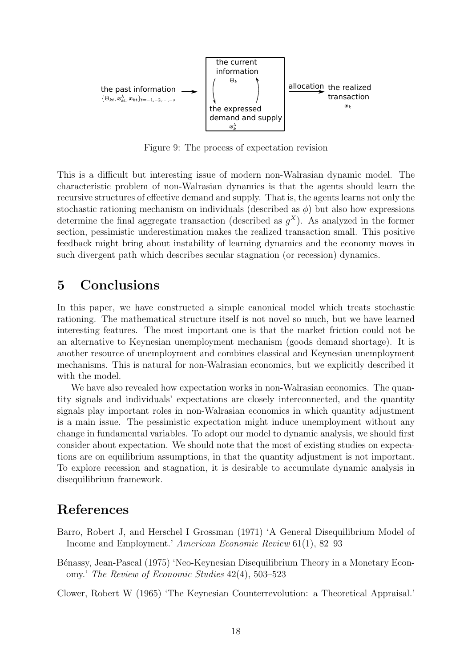

Figure 9: The process of expectation revision

This is a difficult but interesting issue of modern non-Walrasian dynamic model. The characteristic problem of non-Walrasian dynamics is that the agents should learn the recursive structures of effective demand and supply. That is, the agents learns not only the stochastic rationing mechanism on individuals (described as  $\phi$ ) but also how expressions determine the final aggregate transaction (described as  $g^X$ ). As analyzed in the former section, pessimistic underestimation makes the realized transaction small. This positive feedback might bring about instability of learning dynamics and the economy moves in such divergent path which describes secular stagnation (or recession) dynamics.

## 5 Conclusions

In this paper, we have constructed a simple canonical model which treats stochastic rationing. The mathematical structure itself is not novel so much, but we have learned interesting features. The most important one is that the market friction could not be an alternative to Keynesian unemployment mechanism (goods demand shortage). It is another resource of unemployment and combines classical and Keynesian unemployment mechanisms. This is natural for non-Walrasian economics, but we explicitly described it with the model.

We have also revealed how expectation works in non-Walrasian economics. The quantity signals and individuals' expectations are closely interconnected, and the quantity signals play important roles in non-Walrasian economics in which quantity adjustment is a main issue. The pessimistic expectation might induce unemployment without any change in fundamental variables. To adopt our model to dynamic analysis, we should first consider about expectation. We should note that the most of existing studies on expectations are on equilibrium assumptions, in that the quantity adjustment is not important. To explore recession and stagnation, it is desirable to accumulate dynamic analysis in disequilibrium framework.

## References

- Barro, Robert J, and Herschel I Grossman (1971) 'A General Disequilibrium Model of Income and Employment.' American Economic Review 61(1), 82–93
- B´enassy, Jean-Pascal (1975) 'Neo-Keynesian Disequilibrium Theory in a Monetary Economy.' The Review of Economic Studies 42(4), 503–523

Clower, Robert W (1965) 'The Keynesian Counterrevolution: a Theoretical Appraisal.'